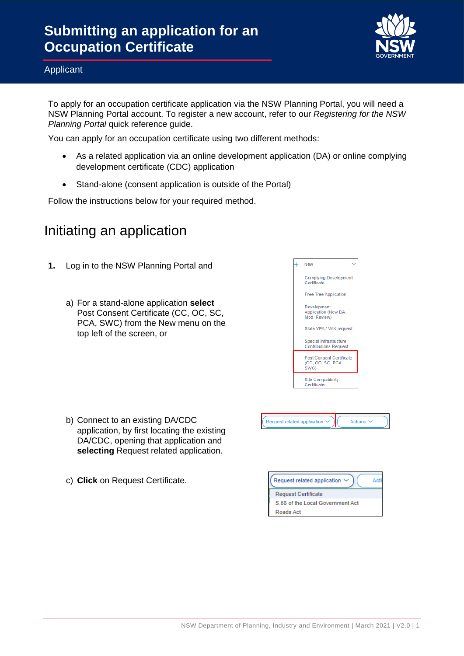

#### Applicant

To apply for an occupation certificate application via the NSW Planning Portal, you will need a NSW Planning Portal account. To register a new account, refer to our *Registering for the NSW Planning Portal* quick reference guide.

You can apply for an occupation certificate using two different methods:

- As a related application via an online development application (DA) or online complying development certificate (CDC) application
- Stand-alone (consent application is outside of the Portal)

Follow the instructions below for your required method.

### Initiating an application

- **1.** Log in to the NSW Planning Portal and
	- a) For a stand-alone application **select** Post Consent Certificate (CC, OC, SC, PCA, SWC) from the New menu on the top left of the screen, or

- b) Connect to an existing DA/CDC application, by first locating the existing DA/CDC, opening that application and **selecting** Request related application.
- c) **Click** on Request Certificate.





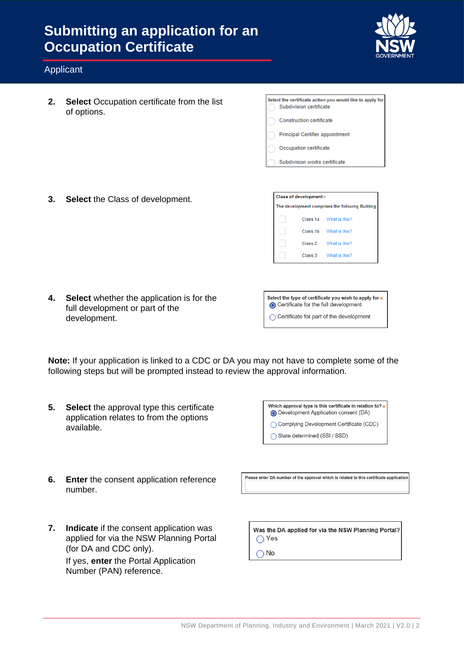

#### Applicant

**2. Select** Occupation certificate from the list of options.

| Select the certificate action you would like to apply for<br>Subdivision certificate |
|--------------------------------------------------------------------------------------|
| Construction certificate                                                             |
| <b>Principal Certifier appointment</b>                                               |
| Occupation certificate                                                               |
| Subdivision works certificate                                                        |

**3. Select** the Class of development.

| Class of development* |         |                                                  |
|-----------------------|---------|--------------------------------------------------|
|                       |         | The development comprises the following Building |
|                       |         | Class 1a What is this?                           |
|                       |         | Class 1b What is this?                           |
|                       | Class 2 | What is this?                                    |
|                       | Class 3 | What is this?                                    |

**4. Select** whether the application is for the full development or part of the development.

| Select the type of certificate you wish to apply for *<br>Certificate for the full development |
|------------------------------------------------------------------------------------------------|
| ◯ Certificate for part of the development                                                      |

**Note:** If your application is linked to a CDC or DA you may not have to complete some of the following steps but will be prompted instead to review the approval information.

**5. Select** the approval type this certificate application relates to from the options available.

| Which approval type is this certificate in relation to? *<br>Development Application consent (DA) |
|---------------------------------------------------------------------------------------------------|
| ◯ Complying Development Certificate (CDC)                                                         |
| ◯ State determined (SSI / SSD)                                                                    |

**6. Enter** the consent application reference number.

Please enter DA number of the approval which is related to this certificate application

**7. Indicate** if the consent application was applied for via the NSW Planning Portal (for DA and CDC only). If yes, **enter** the Portal Application Number (PAN) reference.

Was the DA applied for via the NSW Planning Portal?  $\bigcirc$  Yes

 $\bigcap$  No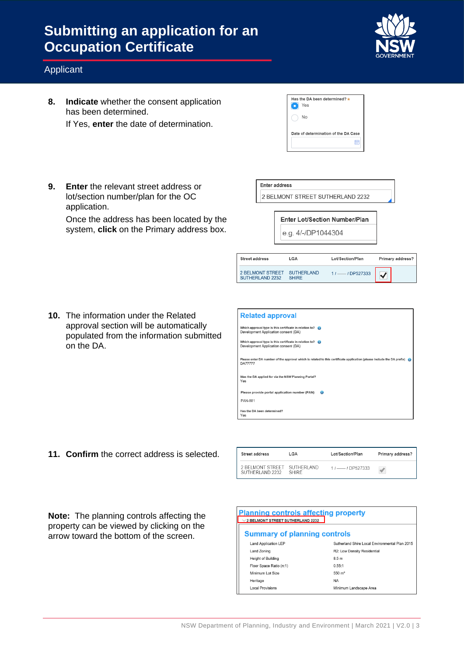

#### Applicant

**8. Indicate** whether the consent application has been determined.

If Yes, **enter** the date of determination.

| Has the DA been determined? $\star$<br>Yes |
|--------------------------------------------|
| No                                         |
| Date of determination of the DA Case       |
| m                                          |

**9. Enter** the relevant street address or lot/section number/plan for the OC application.

Once the address has been located by the system, **click** on the Primary address box. Enter address 2 BELMONT STREET SUTHERLAND 2232

> Enter Lot/Section Number/Plan e.g. 4/-/DP1044304

| Street address                                 | LGA          | Lot/Section/Plan       | <b>Primary address?</b> |
|------------------------------------------------|--------------|------------------------|-------------------------|
| 2 BELMONT STREET SUTHERLAND<br>SUTHERLAND 2232 | <b>SHIRE</b> | $11$ ---- $1$ DP527333 |                         |

**10.** The information under the Related approval section will be automatically populated from the information submitted on the DA.

| <b>Related approval</b>                                                                                                                  |
|------------------------------------------------------------------------------------------------------------------------------------------|
| Which approval type is this certificate in relation to?<br>Development Application consent (DA)                                          |
| Which approval type is this certificate in relation to? $\bullet$<br>Development Application consent (DA)                                |
| Please enter DA number of the approval which is related to this certificate application (please include the DA prefix)<br><b>DA77777</b> |
| Was the DA applied for via the NSW Planning Portal?<br>Yes                                                                               |
| Please provide portal application number (PAN)<br>                                                                                       |
| <b>PAN-881</b>                                                                                                                           |
| Has the DA been determined?<br>Yes                                                                                                       |

**11. Confirm** the correct address is selected.

| Street address                                 | LGA   | Lot/Section/Plan     | Primary address?         |
|------------------------------------------------|-------|----------------------|--------------------------|
| 2 BELMONT STREET SUTHERLAND<br>SUTHERLAND 2232 | SHIRE | $11$ -- $1$ DP527333 | $\overline{\mathcal{A}}$ |

**Note:** The planning controls affecting the property can be viewed by clicking on the arrow toward the bottom of the screen.

| Planning controls affecting property    |                                                |  |  |
|-----------------------------------------|------------------------------------------------|--|--|
| $\vee$ 2 BELMONT STREET SUTHERLAND 2232 |                                                |  |  |
| <b>Summary of planning controls</b>     |                                                |  |  |
| <b>Land Application LEP</b>             | Sutherland Shire Local Environmental Plan 2015 |  |  |
| Land Zoning                             | R2: Low Density Residential                    |  |  |
| Height of Building                      | 8.5 <sub>m</sub>                               |  |  |
| Floor Space Ratio (n:1)                 | 0.55:1                                         |  |  |
| Minimum Lot Size                        | $550 \; \mathrm{m}^2$                          |  |  |
| Heritage                                | NA                                             |  |  |
| <b>Local Provisions</b>                 | Minimum Landscape Area                         |  |  |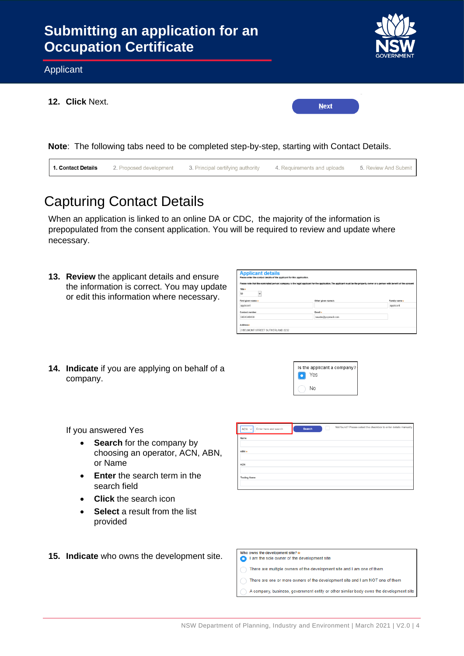

**Note**: The following tabs need to be completed step-by-step, starting with Contact Details.



# Capturing Contact Details

When an application is linked to an online DA or CDC, the majority of the information is prepopulated from the consent application. You will be required to review and update where necessary.

**13. Review** the applicant details and ensure the information is correct. You may update or edit this information where necessary.

| <b>Applicant details</b><br>Please enter the contact details of the applicant for this application.<br>Please note that the nominated personi company is the legal applicant for the application. The applicant must be the property owner or a person with benefit of the consent |                    |               |
|------------------------------------------------------------------------------------------------------------------------------------------------------------------------------------------------------------------------------------------------------------------------------------|--------------------|---------------|
| Title +<br>Mr<br>$\checkmark$                                                                                                                                                                                                                                                      |                    |               |
| First given name *                                                                                                                                                                                                                                                                 | Other given name/s | Family name * |
| applicant                                                                                                                                                                                                                                                                          |                    | applicant     |
| Contact number                                                                                                                                                                                                                                                                     | Email +            |               |
| 0404040404                                                                                                                                                                                                                                                                         | newda@yopmail.com  |               |
| Addresse                                                                                                                                                                                                                                                                           |                    |               |
| 2 BELMONT STREET SUTHERLAND 2232                                                                                                                                                                                                                                                   |                    |               |

**14. Indicate** if you are applying on behalf of a company.



If you answered Yes

- **Search** for the company by choosing an operator, ACN, ABN, or Name
- **Enter** the search term in the search field
- **Click** the search icon
- **Select** a result from the list provided
- **15. Indicate** who owns the development site.

| $ACN$ $\vee$<br>Enter here and search | Search | Not found? Please select the checkbox to enter details manually. |
|---------------------------------------|--------|------------------------------------------------------------------|
| Name                                  |        |                                                                  |
|                                       |        |                                                                  |
| $ABN +$                               |        |                                                                  |
|                                       |        |                                                                  |
| ACN                                   |        |                                                                  |
|                                       |        |                                                                  |
| <b>Trading Name</b>                   |        |                                                                  |
|                                       |        |                                                                  |

| Who owns the development site? $\ast$                                         |
|-------------------------------------------------------------------------------|
| I am the sole owner of the development site                                   |
| There are multiple owners of the development site and I am one of them        |
| There are one or more owners of the development site and I am NOT one of them |

A company, business, government entity or other similar body owns the development site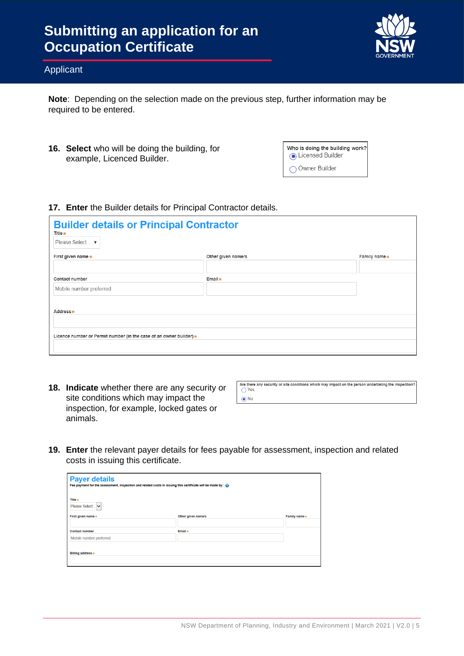

#### Applicant

**Note**: Depending on the selection made on the previous step, further information may be required to be entered.

**16. Select** who will be doing the building, for example, Licenced Builder.

| Who is doing the building work?<br>C Licensed Builder |
|-------------------------------------------------------|
| ◯ Owner Builder                                       |

#### **17. Enter** the Builder details for Principal Contractor details.

| <b>Builder details or Principal Contractor</b><br>Title *<br>Please Select ▼ |                    |              |
|------------------------------------------------------------------------------|--------------------|--------------|
| First given name $\star$                                                     | Other given name/s | Family name* |
|                                                                              |                    |              |
| Contact number                                                               | Email *            |              |
| Mobile number preferred                                                      |                    |              |
|                                                                              |                    |              |
| Address*                                                                     |                    |              |
|                                                                              |                    |              |
| Licence number or Permit number (in the case of an owner builder) *          |                    |              |
|                                                                              |                    |              |
|                                                                              |                    |              |

**18. Indicate** whether there are any security or site conditions which may impact the inspection, for example, locked gates or animals.

| Are there any security or site conditions which may impact on the person undertaking the inspection? |
|------------------------------------------------------------------------------------------------------|
| $\bigcap$ Yes                                                                                        |
| $\odot$ No                                                                                           |

**19. Enter** the relevant payer details for fees payable for assessment, inspection and related costs in issuing this certificate.

| <b>Payer details</b><br>Fee payment for the assessment, inspection and related costs in issuing this certificate will be made by: @ |                    |              |
|-------------------------------------------------------------------------------------------------------------------------------------|--------------------|--------------|
| Title $\star$<br>Please Select                                                                                                      |                    |              |
| First given name *                                                                                                                  | Other given name/s | Family name* |
|                                                                                                                                     |                    |              |
| Contact number                                                                                                                      | Email *            |              |
| Mobile number preferred                                                                                                             |                    |              |
| Billing address *                                                                                                                   |                    |              |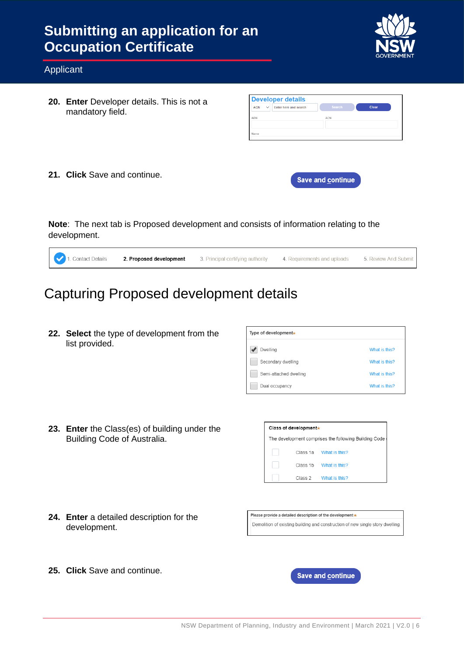

#### Applicant

**20. Enter** Developer details. This is not a mandatory field.

| <b>Developer details</b>                            |        |       |
|-----------------------------------------------------|--------|-------|
| <b>ACN</b><br>Enter here and search<br>$\checkmark$ | Search | Clear |
| ARN                                                 | ACN    |       |
|                                                     |        |       |
| Name                                                |        |       |

**21. Click** Save and continue.



**Note**: The next tab is Proposed development and consists of information relating to the development.

| 1. Contact Details | 2. Proposed development | 3. Principal certifying authority 4. Requirements and uploads 5. Review And Submit |  |
|--------------------|-------------------------|------------------------------------------------------------------------------------|--|
|                    |                         |                                                                                    |  |

### Capturing Proposed development details

**22. Select** the type of development from the list provided.

| Type of development <sub>*</sub> |               |  |
|----------------------------------|---------------|--|
| Dwelling                         | What is this? |  |
| Secondary dwelling               | What is this? |  |
| Semi-attached dwelling           | What is this? |  |
| Dual occupancy                   | What is this? |  |

**23. Enter** the Class(es) of building under the Building Code of Australia.

| Class of development*                                 |  |                        |  |
|-------------------------------------------------------|--|------------------------|--|
| The development comprises the following Building Code |  |                        |  |
|                                                       |  | Class 1a What is this? |  |
|                                                       |  | Class 1b What is this? |  |
|                                                       |  | Class 2 What is this?  |  |

**24. Enter** a detailed description for the development.

Please provide a detailed description of the development \* Demolition of existing building and construction of new single story dwelling.

**25. Click** Save and continue.

**Save and continue**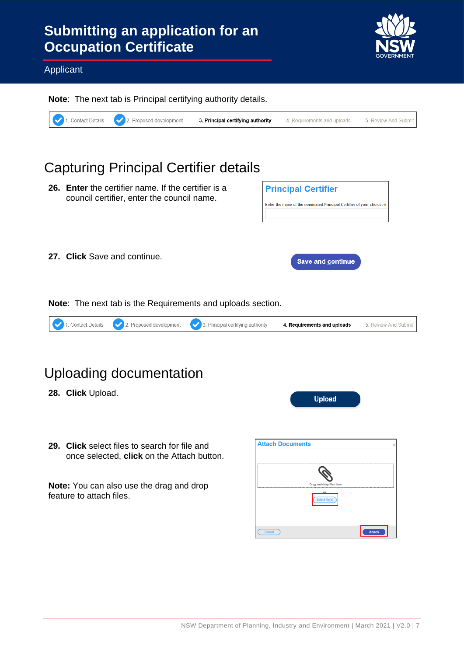

#### Applicant

**Note**: The next tab is Principal certifying authority details.



### Capturing Principal Certifier details **26. Enter** the certifier name. If the certifier is a **Principal Certifier** council certifier, enter the council name. Enter the name of the nominated Principal Certifier of your choice. **27. Click** Save and continue. **Save and continue**

**Note**: The next tab is the Requirements and uploads section.



### Uploading documentation

- **28. Click** Upload.
- **29. Click** select files to search for file and once selected, **click** on the Attach button.

**Note:** You can also use the drag and drop feature to attach files.

| <b>Attach Documents</b> |                          |               |
|-------------------------|--------------------------|---------------|
|                         |                          |               |
|                         |                          |               |
|                         | Drag and drop files here |               |
|                         | or<br>Select file(s)     |               |
|                         |                          |               |
| Cancel                  |                          | <b>Attach</b> |

**Upload**